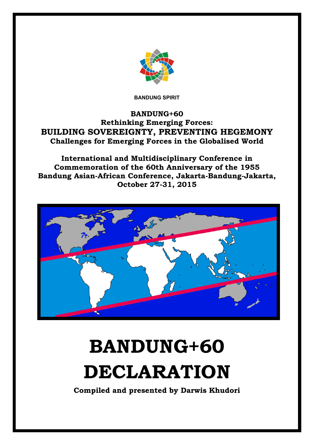

**BANDUNG SPIRIT**

# **BANDUNG+60 Rethinking Emerging Forces: BUILDING SOVEREIGNTY, PREVENTING HEGEMONY Challenges for Emerging Forces in the Globalised World**

**International and Multidisciplinary Conference in Commemoration of the 60th Anniversary of the 1955 Bandung Asian-African Conference, Jakarta-Bandung-Jakarta, October 27-31, 2015**



# **BANDUNG+60 DECLARATION**

**Compiled and presented by Darwis Khudori**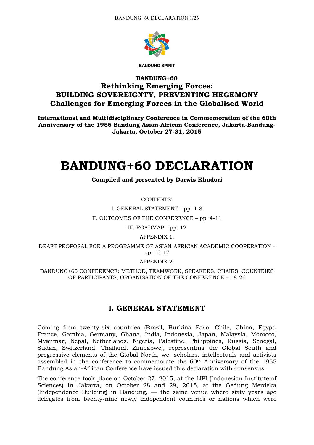

**BANDUNG SPIRIT**

# **BANDUNG+60 Rethinking Emerging Forces: BUILDING SOVEREIGNTY, PREVENTING HEGEMONY Challenges for Emerging Forces in the Globalised World**

**International and Multidisciplinary Conference in Commemoration of the 60th Anniversary of the 1955 Bandung Asian-African Conference, Jakarta-Bandung-Jakarta, October 27-31, 2015**

# **BANDUNG+60 DECLARATION**

#### **Compiled and presented by Darwis Khudori**

CONTENTS:

I. GENERAL STATEMENT – pp. 1-3 II. OUTCOMES OF THE CONFERENCE – pp. 4-11

III. ROADMAP – pp. 12

APPENDIX 1:

DRAFT PROPOSAL FOR A PROGRAMME OF ASIAN-AFRICAN ACADEMIC COOPERATION – pp. 13-17

APPENDIX 2:

BANDUNG+60 CONFERENCE: METHOD, TEAMWORK, SPEAKERS, CHAIRS, COUNTRIES OF PARTICIPANTS, ORGANISATION OF THE CONFERENCE – 18-26

# **I. GENERAL STATEMENT**

Coming from twenty-six countries (Brazil, Burkina Faso, Chile, China, Egypt, France, Gambia, Germany, Ghana, India, Indonesia, Japan, Malaysia, Morocco, Myanmar, Nepal, Netherlands, Nigeria, Palestine, Philippines, Russia, Senegal, Sudan, Switzerland, Thailand, Zimbabwe), representing the Global South and progressive elements of the Global North, we, scholars, intellectuals and activists assembled in the conference to commemorate the 60th Anniversary of the 1955 Bandung Asian-African Conference have issued this declaration with consensus.

The conference took place on October 27, 2015, at the LIPI (Indonesian Institute of Sciences) in Jakarta, on October 28 and 29, 2015, at the Gedung Merdeka (Independence Building) in Bandung, — the same venue where sixty years ago delegates from twenty-nine newly independent countries or nations which were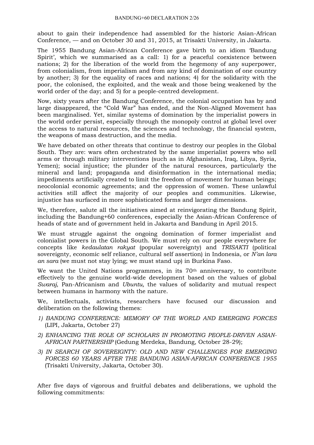about to gain their independence had assembled for the historic Asian-African Conference, — and on October 30 and 31, 2015, at Trisakti University, in Jakarta.

The 1955 Bandung Asian-African Conference gave birth to an idiom 'Bandung Spirit', which we summarised as a call: 1) for a peaceful coexistence between nations; 2) for the liberation of the world from the hegemony of any superpower, from colonialism, from imperialism and from any kind of domination of one country by another; 3) for the equality of races and nations; 4) for the solidarity with the poor, the colonised, the exploited, and the weak and those being weakened by the world order of the day; and 5) for a people-centred development.

Now, sixty years after the Bandung Conference, the colonial occupation has by and large disappeared, the "Cold War" has ended, and the Non-Aligned Movement has been marginalised. Yet, similar systems of domination by the imperialist powers in the world order persist, especially through the monopoly control at global level over the access to natural resources, the sciences and technology, the financial system, the weapons of mass destruction, and the media.

We have debated on other threats that continue to destroy our peoples in the Global South. They are: wars often orchestrated by the same imperialist powers who sell arms or through military interventions (such as in Afghanistan, Iraq, Libya, Syria, Yemen); social injustice; the plunder of the natural resources, particularly the mineral and land; propaganda and disinformation in the international media; impediments artificially created to limit the freedom of movement for human beings; neocolonial economic agreements; and the oppression of women. These unlawful activities still affect the majority of our peoples and communities. Likewise, injustice has surfaced in more sophisticated forms and larger dimensions.

We, therefore, salute all the initiatives aimed at reinvigorating the Bandung Spirit, including the Bandung+60 conferences, especially the Asian-African Conference of heads of state and of government held in Jakarta and Bandung in April 2015.

We must struggle against the ongoing domination of former imperialist and colonialist powers in the Global South. We must rely on our people everywhere for concepts like *kedaulatan rakyat* (popular sovereignty) and *TRISAKTI* (political sovereignty, economic self reliance, cultural self assertion) in Indonesia, or *N'an lara an sara* (we must not stay lying; we must stand up) in Burkina Faso.

We want the United Nations programmes, in its 70<sup>th</sup> anniversary, to contribute effectively to the genuine world-wide development based on the values of global *Swaraj*, Pan-Africanism and *Ubuntu,* the values of solidarity and mutual respect between humans in harmony with the nature.

We, intellectuals, activists, researchers have focused our discussion and deliberation on the following themes:

- *1) BANDUNG CONFERENCE: MEMORY OF THE WORLD AND EMERGING FORCES*  (LIPI, Jakarta, October 27)
- *2) ENHANCING THE ROLE OF SCHOLARS IN PROMOTING PEOPLE-DRIVEN ASIAN-AFRICAN PARTNERSHIP* (Gedung Merdeka, Bandung, October 28-29);
- *3) IN SEARCH OF SOVEREIGNTY: OLD AND NEW CHALLENGES FOR EMERGING FORCES 60 YEARS AFTER THE BANDUNG ASIAN-AFRICAN CONFERENCE 1955*  (Trisakti University, Jakarta, October 30).

After five days of vigorous and fruitful debates and deliberations, we uphold the following commitments: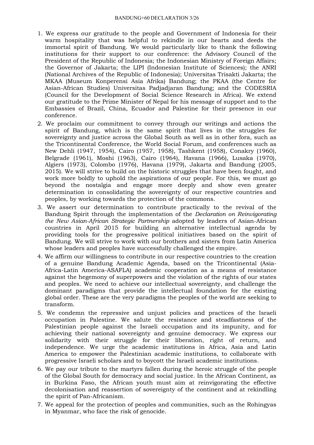- 1. We express our gratitude to the people and Government of Indonesia for their warm hospitality that was helpful to rekindle in our hearts and deeds the immortal spirit of Bandung. We would particularly like to thank the following institutions for their support to our conference: the Advisory Council of the President of the Republic of Indonesia; the Indonesian Ministry of Foreign Affairs; the Governor of Jakarta; the LIPI (Indonesian Institute of Sciences); the ANRI (National Archives of the Republic of Indonesia); Universitas Trisakti Jakarta; the MKAA (Museum Konperensi Asia Afrika) Bandung; the PKAA (the Centre for Asian-African Studies) Universitas Padjadjaran Bandung; and the CODESRIA (Council for the Development of Social Science Research in Africa). We extend our gratitude to the Prime Minister of Nepal for his message of support and to the Embassies of Brazil, China, Ecuador and Palestine for their presence in our conference.
- 2. We proclaim our commitment to convey through our writings and actions the spirit of Bandung, which is the same spirit that lives in the struggles for sovereignty and justice across the Global South as well as in other fora, such as the Tricontinental Conference, the World Social Forum, and conferences such as New Dehli (1947, 1954), Cairo (1957, 1958), Tashkent (1958), Conakry (1960), Belgrade (1961), Moshi (1963), Cairo (1964), Havana (1966), Lusaka (1970), Algiers (1973), Colombo (1976), Havana (1979), Jakarta and Bandung (2005, 2015). We will strive to build on the historic struggles that have been fought, and work more boldly to uphold the aspirations of our people. For this, we must go beyond the nostalgia and engage more deeply and show even greater determination in consolidating the sovereignty of our respective countries and peoples, by working towards the protection of the commons.
- 3. We assert our determination to contribute practically to the revival of the Bandung Spirit through the implementation of the *Declaration on Reinvigorating the New Asian-African Strategic Partnership* adopted by leaders of Asian-African countries in April 2015 for building an alternative intellectual agenda by providing tools for the progressive political initiatives based on the spirit of Bandung. We will strive to work with our brothers and sisters from Latin America whose leaders and peoples have successfully challenged the empire.
- 4. We affirm our willingness to contribute in our respective countries to the creation of a genuine Bandung Academic Agenda, based on the Tricontinental (Asia-Africa-Latin America-ASAFLA) academic cooperation as a means of resistance against the hegemony of superpowers and the violation of the rights of our states and peoples. We need to achieve our intellectual sovereignty, and challenge the dominant paradigms that provide the intellectual foundation for the existing global order. These are the very paradigms the peoples of the world are seeking to transform.
- 5. We condemn the repressive and unjust policies and practices of the Israeli occupation in Palestine. We salute the resistance and steadfastness of the Palestinian people against the Israeli occupation and its impunity, and for achieving their national sovereignty and genuine democracy. We express our solidarity with their struggle for their liberation, right of return, and independence. We urge the academic institutions in Africa, Asia and Latin America to empower the Palestinian academic institutions, to collaborate with progressive Israeli scholars and to boycott the Israeli academic institutions.
- 6. We pay our tribute to the martyrs fallen during the heroic struggle of the people of the Global South for democracy and social justice. In the African Continent, as in Burkina Faso, the African youth must aim at reinvigorating the effective decolonisation and reassertion of sovereignty of the continent and at rekindling the spirit of Pan-Africanism.
- 7. We appeal for the protection of peoples and communities, such as the Rohingyas in Myanmar, who face the risk of genocide.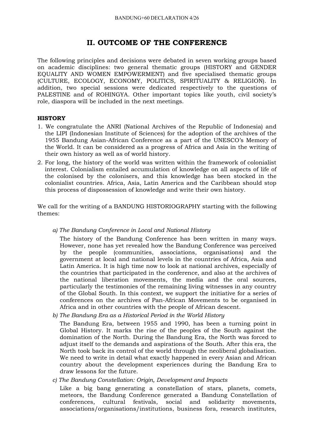## **II. OUTCOME OF THE CONFERENCE**

The following principles and decisions were debated in seven working groups based on academic disciplines: two general thematic groups (HISTORY and GENDER EQUALITY AND WOMEN EMPOWERMENT) and five specialised thematic groups (CULTURE, ECOLOGY, ECONOMY, POLITICS, SPIRITUALITY & RELIGION). In addition, two special sessions were dedicated respectively to the questions of PALESTINE and of ROHINGYA. Other important topics like youth, civil society's role, diaspora will be included in the next meetings.

#### **HISTORY**

- 1. We congratulate the ANRI (National Archives of the Republic of Indonesia) and the LIPI (Indonesian Institute of Sciences) for the adoption of the archives of the 1955 Bandung Asian-African Conference as a part of the UNESCO's Memory of the World. It can be considered as a progress of Africa and Asia in the writing of their own history as well as of world history.
- 2. For long, the history of the world was written within the framework of colonialist interest. Colonialism entailed accumulation of knowledge on all aspects of life of the colonised by the colonisers, and this knowledge has been stocked in the colonialist countries. Africa, Asia, Latin America and the Caribbean should stop this process of dispossession of knowledge and write their own history.

We call for the writing of a BANDUNG HISTORIOGRAPHY starting with the following themes:

*a) The Bandung Conference in Local and National History*

The history of the Bandung Conference has been written in many ways. However, none has yet revealed how the Bandung Conference was perceived by the people (communities, associations, organisations) and the government at local and national levels in the countries of Africa, Asia and Latin America. It is high time now to look at national archives, especially of the countries that participated in the conference, and also at the archives of the national liberation movements, the media and the oral sources, particularly the testimonies of the remaining living witnesses in any country of the Global South. In this context, we support the initiative for a series of conferences on the archives of Pan-African Movements to be organised in Africa and in other countries with the people of African descent.

*b) The Bandung Era as a Historical Period in the World History*

The Bandung Era, between 1955 and 1990, has been a turning point in Global History. It marks the rise of the peoples of the South against the domination of the North. During the Bandung Era, the North was forced to adjust itself to the demands and aspirations of the South. After this era, the North took back its control of the world through the neoliberal globalisation. We need to write in detail what exactly happened in every Asian and African country about the development experiences during the Bandung Era to draw lessons for the future.

*c) The Bandung Constellation: Origin, Development and Impacts*

Like a big bang generating a constellation of stars, planets, comets, meteors, the Bandung Conference generated a Bandung Constellation of conferences, cultural festivals, social and solidarity movements, associations/organisations/institutions, business fora, research institutes,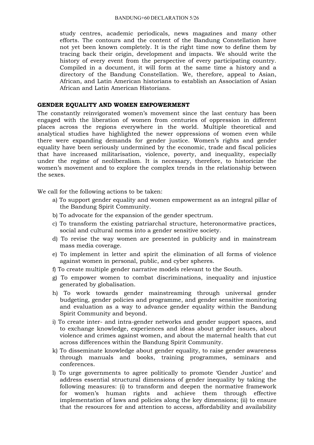study centres, academic periodicals, news magazines and many other efforts. The contours and the content of the Bandung Constellation have not yet been known completely. It is the right time now to define them by tracing back their origin, development and impacts. We should write the history of every event from the perspective of every participating country. Compiled in a document, it will form at the same time a history and a directory of the Bandung Constellation. We, therefore, appeal to Asian, African, and Latin American historians to establish an Association of Asian African and Latin American Historians.

#### **GENDER EQUALITY AND WOMEN EMPOWERMENT**

The constantly reinvigorated women's movement since the last century has been engaged with the liberation of women from centuries of oppression in different places across the regions everywhere in the world. Multiple theoretical and analytical studies have highlighted the newer oppressions of women even while there were expanding demands for gender justice. Women's rights and gender equality have been seriously undermined by the economic, trade and fiscal policies that have increased militarisation, violence, poverty, and inequality, especially under the regime of neoliberalism. It is necessary, therefore, to historicize the women's movement and to explore the complex trends in the relationship between the sexes.

We call for the following actions to be taken:

- a) To support gender equality and women empowerment as an integral pillar of the Bandung Spirit Community.
- b) To advocate for the expansion of the gender spectrum.
- c) To transform the existing patriarchal structure, heteronormative practices, social and cultural norms into a gender sensitive society.
- d) To revise the way women are presented in publicity and in mainstream mass media coverage.
- e) To implement in letter and spirit the elimination of all forms of violence against women in personal, public, and cyber spheres.
- f) To create multiple gender narrative models relevant to the South.
- g) To empower women to combat discriminations, inequality and injustice generated by globalisation.
- h) To work towards gender mainstreaming through universal gender budgeting, gender policies and programme, and gender sensitive monitoring and evaluation as a way to advance gender equality within the Bandung Spirit Community and beyond.
- i) To create inter- and intra-gender networks and gender support spaces, and to exchange knowledge, experiences and ideas about gender issues, about violence and crimes against women, and about the maternal health that cut across differences within the Bandung Spirit Community.
- k) To disseminate knowledge about gender equality, to raise gender awareness through manuals and books, training programmes, seminars and conferences.
- l) To urge governments to agree politically to promote 'Gender Justice' and address essential structural dimensions of gender inequality by taking the following measures: (i) to transform and deepen the normative framework for women's human rights and achieve them through effective implementation of laws and policies along the key dimensions; (ii) to ensure that the resources for and attention to access, affordability and availability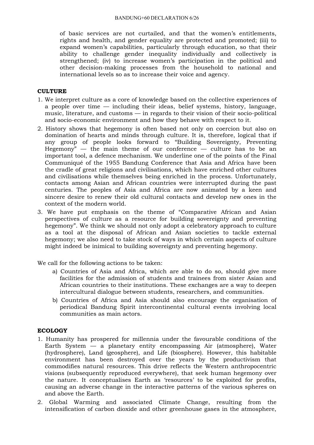of basic services are not curtailed, and that the women's entitlements, rights and health, and gender equality are protected and promoted; (iii) to expand women's capabilities, particularly through education, so that their ability to challenge gender inequality individually and collectively is strengthened; (iv) to increase women's participation in the political and other decision-making processes from the household to national and international levels so as to increase their voice and agency.

#### **CULTURE**

- 1. We interpret culture as a core of knowledge based on the collective experiences of a people over time — including their ideas, belief systems, history, language, music, literature, and customs — in regards to their vision of their socio-political and socio-economic environment and how they behave with respect to it.
- 2. History shows that hegemony is often based not only on coercion but also on domination of hearts and minds through culture. It is, therefore, logical that if any group of people looks forward to "Building Sovereignty, Preventing Hegemony"  $-$  the main theme of our conference  $-$  culture has to be an important tool, a defence mechanism. We underline one of the points of the Final Communiqué of the 1955 Bandung Conference that Asia and Africa have been the cradle of great religions and civilisations, which have enriched other cultures and civilisations while themselves being enriched in the process. Unfortunately, contacts among Asian and African countries were interrupted during the past centuries. The peoples of Asia and Africa are now animated by a keen and sincere desire to renew their old cultural contacts and develop new ones in the context of the modern world.
- 3. We have put emphasis on the theme of "Comparative African and Asian perspectives of culture as a resource for building sovereignty and preventing hegemony". We think we should not only adopt a celebratory approach to culture as a tool at the disposal of African and Asian societies to tackle external hegemony; we also need to take stock of ways in which certain aspects of culture might indeed be inimical to building sovereignty and preventing hegemony.

We call for the following actions to be taken:

- a) Countries of Asia and Africa, which are able to do so, should give more facilities for the admission of students and trainees from sister Asian and African countries to their institutions. These exchanges are a way to deepen intercultural dialogue between students, researchers, and communities.
- b) Countries of Africa and Asia should also encourage the organisation of periodical Bandung Spirit intercontinental cultural events involving local communities as main actors.

#### **ECOLOGY**

- 1. Humanity has prospered for millennia under the favourable conditions of the Earth System  $-$  a planetary entity encompassing Air (atmosphere), Water (hydrosphere), Land (geosphere), and Life (biosphere). However, this habitable environment has been destroyed over the years by the productivism that commodifies natural resources. This drive reflects the Western anthropocentric visions (subsequently reproduced everywhere), that seek human hegemony over the nature. It conceptualises Earth as 'resources' to be exploited for profits, causing an adverse change in the interactive patterns of the various spheres on and above the Earth.
- 2. Global Warming and associated Climate Change, resulting from the intensification of carbon dioxide and other greenhouse gases in the atmosphere,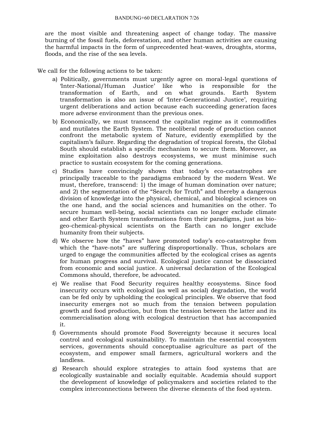are the most visible and threatening aspect of change today. The massive burning of the fossil fuels, deforestation, and other human activities are causing the harmful impacts in the form of unprecedented heat-waves, droughts, storms, floods, and the rise of the sea levels.

We call for the following actions to be taken:

- a) Politically, governments must urgently agree on moral-legal questions of 'Inter-National/Human Justice' like who is responsible for the transformation of Earth, and on what grounds. Earth System transformation is also an issue of 'Inter-Generational Justice', requiring urgent deliberations and action because each succeeding generation faces more adverse environment than the previous ones.
- b) Economically, we must transcend the capitalist regime as it commodifies and mutilates the Earth System. The neoliberal mode of production cannot confront the metabolic system of Nature, evidently exemplified by the capitalism's failure. Regarding the degradation of tropical forests, the Global South should establish a specific mechanism to secure them. Moreover, as mine exploitation also destroys ecosystems, we must minimise such practice to sustain ecosystem for the coming generations.
- c) Studies have convincingly shown that today's eco-catastrophes are principally traceable to the paradigms embraced by the modern West. We must, therefore, transcend: 1) the image of human domination over nature; and 2) the segmentation of the "Search for Truth" and thereby a dangerous division of knowledge into the physical, chemical, and biological sciences on the one hand, and the social sciences and humanities on the other. To secure human well-being, social scientists can no longer exclude climate and other Earth System transformations from their paradigms, just as biogeo-chemical-physical scientists on the Earth can no longer exclude humanity from their subjects.
- d) We observe how the "haves" have promoted today's eco-catastrophe from which the "have-nots" are suffering disproportionally. Thus, scholars are urged to engage the communities affected by the ecological crises as agents for human progress and survival. Ecological justice cannot be dissociated from economic and social justice. A universal declaration of the Ecological Commons should, therefore, be advocated.
- e) We realise that Food Security requires healthy ecosystems. Since food insecurity occurs with ecological (as well as social) degradation, the world can be fed only by upholding the ecological principles. We observe that food insecurity emerges not so much from the tension between population growth and food production, but from the tension between the latter and its commercialisation along with ecological destruction that has accompanied it.
- f) Governments should promote Food Sovereignty because it secures local control and ecological sustainability. To maintain the essential ecosystem services, governments should conceptualise agriculture as part of the ecosystem, and empower small farmers, agricultural workers and the landless.
- g) Research should explore strategies to attain food systems that are ecologically sustainable and socially equitable. Academia should support the development of knowledge of policymakers and societies related to the complex interconnections between the diverse elements of the food system.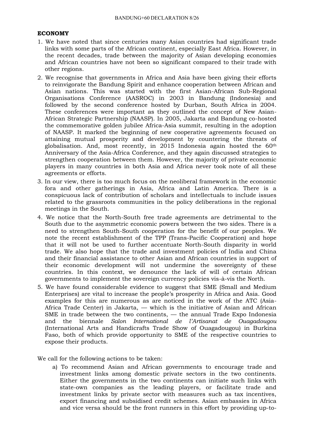#### **ECONOMY**

- 1. We have noted that since centuries many Asian countries had significant trade links with some parts of the African continent, especially East Africa. However, in the recent decades, trade between the majority of Asian developing economies and African countries have not been so significant compared to their trade with other regions.
- 2. We recognise that governments in Africa and Asia have been giving their efforts to reinvigorate the Bandung Spirit and enhance cooperation between African and Asian nations. This was started with the first Asian-African Sub-Regional Organisations Conference (AASROC) in 2003 in Bandung (Indonesia) and followed by the second conference hosted by Durban, South Africa in 2004. These conferences were important as they outlined the concept of New Asian-African Strategic Partnership (NAASP). In 2005, Jakarta and Bandung co-hosted the commemorative golden jubilee Africa-Asia summit, resulting in the adoption of NAASP. It marked the beginning of new cooperative agreements focused on attaining mutual prosperity and development by countering the threats of globalisation. And, most recently, in 2015 Indonesia again hosted the 60<sup>th</sup> Anniversary of the Asia-Africa Conference, and they again discussed strategies to strengthen cooperation between them. However, the majority of private economic players in many countries in both Asia and Africa never took note of all these agreements or efforts.
- 3. In our view, there is too much focus on the neoliberal framework in the economic fora and other gatherings in Asia, Africa and Latin America. There is a conspicuous lack of contribution of scholars and intellectuals to include issues related to the grassroots communities in the policy deliberations in the regional meetings in the South.
- 4. We notice that the North-South free trade agreements are detrimental to the South due to the asymmetric economic powers between the two sides. There is a need to strengthen South-South cooperation for the benefit of our peoples. We note the recent establishment of the TPP (Trans-Pacific Cooperation) and hope that it will not be used to further accentuate North-South disparity in world trade. We also hope that the trade and investment policies of India and China and their financial assistance to other Asian and African countries in support of their economic development will not undermine the sovereignty of these countries. In this context, we denounce the lack of will of certain African governments to implement the sovereign currency policies vis-à-vis the North.
- 5. We have found considerable evidence to suggest that SME (Small and Medium Enterprises) are vital to increase the people's prosperity in Africa and Asia. Good examples for this are numerous as are noticed in the work of the ATC (Asia-Africa Trade Center) in Jakarta, — which is the initiative of Asian and African SME in trade between the two continents, — the annual Trade Expo Indonesia and the biennale *Salon International de l'Artisanat de Ouagadougou* (International Arts and Handicrafts Trade Show of Ouagadougou) in Burkina Faso, both of which provide opportunity to SME of the respective countries to expose their products.

We call for the following actions to be taken:

a) To recommend Asian and African governments to encourage trade and investment links among domestic private sectors in the two continents. Either the governments in the two continents can initiate such links with state-own companies as the leading players, or facilitate trade and investment links by private sector with measures such as tax incentives, export financing and subsidised credit schemes. Asian embassies in Africa and vice versa should be the front runners in this effort by providing up-to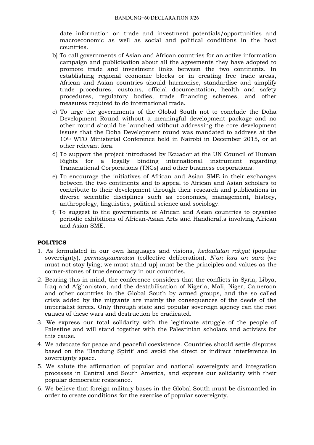date information on trade and investment potentials/opportunities and macroeconomic as well as social and political conditions in the host countries.

- b) To call governments of Asian and African countries for an active information campaign and publicisation about all the agreements they have adopted to promote trade and investment links between the two continents. In establishing regional economic blocks or in creating free trade areas, African and Asian countries should harmonise, standardise and simplify trade procedures, customs, official documentation, health and safety procedures, regulatory bodies, trade financing schemes, and other measures required to do international trade.
- c) To urge the governments of the Global South not to conclude the Doha Development Round without a meaningful development package and no other round should be launched without addressing the core development issues that the Doha Development round was mandated to address at the 10th WTO Ministerial Conference held in Nairobi in December 2015, or at other relevant fora.
- d) To support the project introduced by Ecuador at the UN Council of Human Rights for a legally binding international instrument regarding Transnational Corporations (TNCs) and other business corporations.
- e) To encourage the initiatives of African and Asian SME in their exchanges between the two continents and to appeal to African and Asian scholars to contribute to their development through their research and publications in diverse scientific disciplines such as economics, management, history, anthropology, linguistics, political science and sociology.
- f) To suggest to the governments of African and Asian countries to organise periodic exhibitions of African-Asian Arts and Handicrafts involving African and Asian SME.

#### **POLITICS**

- 1. As formulated in our own languages and visions, *kedaulatan rakyat* (popular sovereignty), *permusyawaratan* (collective deliberation), *N'an lara an sara* (we must not stay lying; we must stand up) must be the principles and values as the corner-stones of true democracy in our countries.
- 2. Bearing this in mind, the conference considers that the conflicts in Syria, Libya, Iraq and Afghanistan, and the destabilisation of Nigeria, Mali, Niger, Cameroon and other countries in the Global South by armed groups, and the so called crisis added by the migrants are mainly the consequences of the deeds of the imperialist forces. Only through state and popular sovereign agency can the root causes of these wars and destruction be eradicated.
- 3. We express our total solidarity with the legitimate struggle of the people of Palestine and will stand together with the Palestinian scholars and activists for this cause.
- 4. We advocate for peace and peaceful coexistence. Countries should settle disputes based on the 'Bandung Spirit' and avoid the direct or indirect interference in sovereignty space.
- 5. We salute the affirmation of popular and national sovereignty and integration processes in Central and South America, and express our solidarity with their popular democratic resistance.
- 6. We believe that foreign military bases in the Global South must be dismantled in order to create conditions for the exercise of popular sovereignty.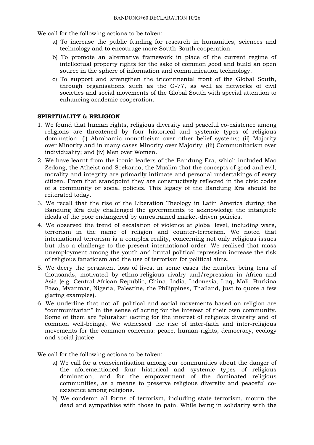We call for the following actions to be taken:

- a) To increase the public funding for research in humanities, sciences and technology and to encourage more South-South cooperation.
- b) To promote an alternative framework in place of the current regime of intellectual property rights for the sake of common good and build an open source in the sphere of information and communication technology.
- c) To support and strengthen the tricontinental front of the Global South, through organisations such as the G-77, as well as networks of civil societies and social movements of the Global South with special attention to enhancing academic cooperation.

#### **SPIRITUALITY & RELIGION**

- 1. We found that human rights, religious diversity and peaceful co-existence among religions are threatened by four historical and systemic types of religious domination: (i) Abrahamic monotheism over other belief systems; (ii) Majority over Minority and in many cases Minority over Majority; (iii) Communitarism over individuality; and (iv) Men over Women.
- 2. We have learnt from the iconic leaders of the Bandung Era, which included Mao Zedong, the Atheist and Soekarno, the Muslim that the concepts of good and evil, morality and integrity are primarily intimate and personal undertakings of every citizen. From that standpoint they are constructively reflected in the civic codes of a community or social policies. This legacy of the Bandung Era should be reiterated today.
- 3. We recall that the rise of the Liberation Theology in Latin America during the Bandung Era duly challenged the governments to acknowledge the intangible ideals of the poor endangered by unrestrained market-driven policies.
- 4. We observed the trend of escalation of violence at global level, including wars, terrorism in the name of religion and counter-terrorism. We noted that international terrorism is a complex reality, concerning not only religious issues but also a challenge to the present international order. We realised that mass unemployment among the youth and brutal political repression increase the risk of religious fanaticism and the use of terrorism for political aims.
- 5. We decry the persistent loss of lives, in some cases the number being tens of thousands, motivated by ethno-religious rivalry and/repression in Africa and Asia (e.g. Central African Republic, China, India, Indonesia, Iraq, Mali, Burkina Faso, Myanmar, Nigeria, Palestine, the Philippines, Thailand, just to quote a few glaring examples).
- 6. We underline that not all political and social movements based on religion are "communitarian" in the sense of acting for the interest of their own community. Some of them are "pluralist" (acting for the interest of religious diversity and of common well-beings). We witnessed the rise of inter-faith and inter-religious movements for the common concerns: peace, human-rights, democracy, ecology and social justice.

We call for the following actions to be taken:

- a) We call for a conscientisation among our communities about the danger of the aforementioned four historical and systemic types of religious domination, and for the empowerment of the dominated religious communities, as a means to preserve religious diversity and peaceful coexistence among religions.
- b) We condemn all forms of terrorism, including state terrorism, mourn the dead and sympathise with those in pain. While being in solidarity with the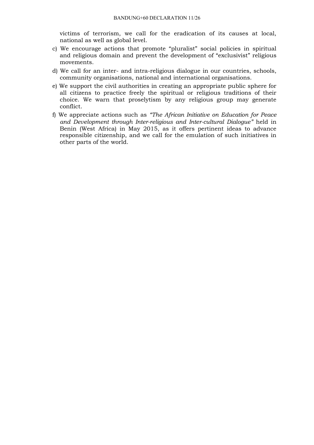victims of terrorism, we call for the eradication of its causes at local, national as well as global level.

- c) We encourage actions that promote "pluralist" social policies in spiritual and religious domain and prevent the development of "exclusivist" religious movements.
- d) We call for an inter- and intra-religious dialogue in our countries, schools, community organisations, national and international organisations.
- e) We support the civil authorities in creating an appropriate public sphere for all citizens to practice freely the spiritual or religious traditions of their choice. We warn that proselytism by any religious group may generate conflict.
- f) We appreciate actions such as *"The African Initiative on Education for Peace and Development through Inter-religious and Inter-cultural Dialogue"* held in Benin (West Africa) in May 2015, as it offers pertinent ideas to advance responsible citizenship, and we call for the emulation of such initiatives in other parts of the world.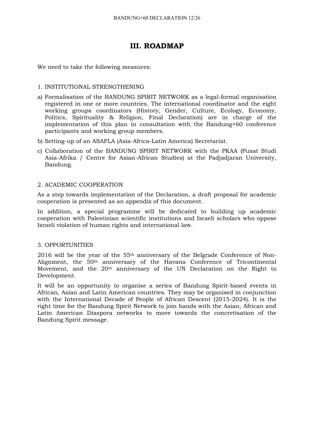# **III. ROADMAP**

We need to take the following measures:

#### 1. INSTITUTIONAL STRENGTHENING

- a) Formalisation of the BANDUNG SPIRIT NETWORK as a legal-formal organisation registered in one or more countries. The international coordinator and the eight working groups coordinators (History, Gender, Culture, Ecology, Economy, Politics, Spirituality & Religion, Final Declaration) are in charge of the implementation of this plan in consultation with the Bandung+60 conference participants and working group members.
- b) Setting-up of an ASAFLA (Asia-Africa-Latin America) Secretariat.
- c) Collaboration of the BANDUNG SPIRIT NETWORK with the PKAA (Pusat Studi Asia-Afrika / Centre for Asian-African Studies) at the Padjadjaran University, Bandung.

#### 2. ACADEMIC COOPERATION

As a step towards implementation of the Declaration, a draft proposal for academic cooperation is presented as an appendix of this document.

In addition, a special programme will be dedicated to building up academic cooperation with Palestinian scientific institutions and Israeli scholars who oppose Israeli violation of human rights and international law.

#### 3. OPPORTUNITIES

2016 will be the year of the 55th anniversary of the Belgrade Conference of Non-Alignment, the 50th anniversary of the Havana Conference of Tricontinental Movement, and the 20<sup>th</sup> anniversary of the UN Declaration on the Right to Development.

It will be an opportunity to organise a series of Bandung Spirit-based events in African, Asian and Latin American countries. They may be organised in conjunction with the International Decade of People of African Descent (2015-2024). It is the right time for the Bandung Spirit Network to join hands with the Asian, African and Latin American Diaspora networks to move towards the concretisation of the Bandung Spirit message.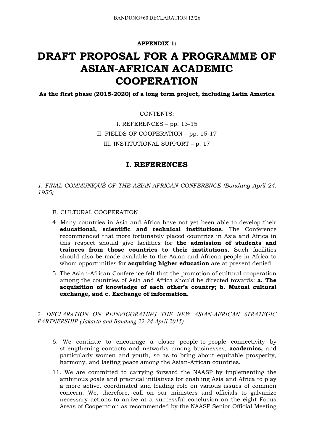**APPENDIX 1:**

# **DRAFT PROPOSAL FOR A PROGRAMME OF ASIAN-AFRICAN ACADEMIC COOPERATION**

**As the first phase (2015-2020) of a long term project, including Latin America**

CONTENTS:

I. REFERENCES – pp. 13-15 II. FIELDS OF COOPERATION – pp. 15-17 III. INSTITUTIONAL SUPPORT – p. 17

### **I. REFERENCES**

*1. FINAL COMMUNIQUÉ OF THE ASIAN-AFRICAN CONFERENCE (Bandung April 24, 1955)*

- B. CULTURAL COOPERATION
- 4. Many countries in Asia and Africa have not yet been able to develop their **educational, scientific and technical institutions**. The Conference recommended that more fortunately placed countries in Asia and Africa in this respect should give facilities for **the admission of students and trainees from those countries to their institutions**. Such facilities should also be made available to the Asian and African people in Africa to whom opportunities for **acquiring higher education** are at present denied.
- 5. The Asian-African Conference felt that the promotion of cultural cooperation among the countries of Asia and Africa should be directed towards: **a. The acquisition of knowledge of each other's country; b. Mutual cultural exchange, and c. Exchange of information.**

*2. DECLARATION ON REINVIGORATING THE NEW ASIAN-AFRICAN STRATEGIC PARTNERSHIP (Jakarta and Bandung 22-24 April 2015)*

- 6. We continue to encourage a closer people-to-people connectivity by strengthening contacts and networks among businesses, **academics,** and particularly women and youth, so as to bring about equitable prosperity, harmony, and lasting peace among the Asian-African countries.
- 11. We are committed to carrying forward the NAASP by implementing the ambitious goals and practical initiatives for enabling Asia and Africa to play a more active, coordinated and leading role on various issues of common concern. We, therefore, call on our ministers and officials to galvanize necessary actions to arrive at a successful conclusion on the eight Focus Areas of Cooperation as recommended by the NAASP Senior Official Meeting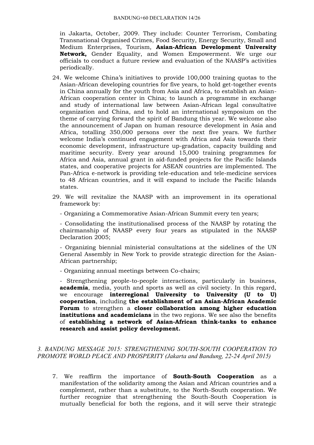in Jakarta, October, 2009. They include: Counter Terrorism, Combating Transnational Organised Crimes, Food Security, Energy Security, Small and Medium Enterprises, Tourism, **Asian-African Development University Network,** Gender Equality, and Women Empowerment. We urge our officials to conduct a future review and evaluation of the NAASP's activities periodically.

- 24. We welcome China's initiatives to provide 100,000 training quotas to the Asian-African developing countries for five years, to hold get-together events in China annually for the youth from Asia and Africa, to establish an Asian-African cooperation center in China; to launch a programme in exchange and study of international law between Asian-African legal consultative organization and China, and to hold an international symposium on the theme of carrying forward the spirit of Bandung this year. We welcome also the announcement of Japan on human resource development in Asia and Africa, totalling 350,000 persons over the next five years. We further welcome India's continued engagement with Africa and Asia towards their economic development, infrastructure up-gradation, capacity building and maritime security. Every year around 15,000 training programmes for Africa and Asia, annual grant in aid-funded projects for the Pacific Islands states, and cooperative projects for ASEAN countries are implemented. The Pan-Africa e-network is providing tele-education and tele-medicine services to 48 African countries, and it will expand to include the Pacific Islands states.
- 29. We will revitalize the NAASP with an improvement in its operational framework by:

- Organizing a Commemorative Asian-African Summit every ten years;

- Consolidating the institutionalised process of the NAASP by rotating the chairmanship of NAASP every four years as stipulated in the NAASP Declaration 2005;

- Organizing biennial ministerial consultations at the sidelines of the UN General Assembly in New York to provide strategic direction for the Asian-African partnership;

- Organizing annual meetings between Co-chairs;

- Strengthening people-to-people interactions, particularly in business, **academia**, media, youth and sports as well as civil society. In this regard, we encourage **interregional University to University (U to U) cooperation**, including **the establishment of an Asian-African Academic Forum** to strengthen a **closer collaboration among higher education institutions and academicians** in the two regions. We see also the benefits of **establishing a network of Asian-African think-tanks to enhance research and assist policy development.**

#### *3. BANDUNG MESSAGE 2015: STRENGTHENING SOUTH-SOUTH COOPERATION TO PROMOTE WORLD PEACE AND PROSPERITY (Jakarta and Bandung, 22-24 April 2015)*

7. We reaffirm the importance of **South-South Cooperation** as a manifestation of the solidarity among the Asian and African countries and a complement, rather than a substitute, to the North-South cooperation. We further recognize that strengthening the South-South Cooperation is mutually beneficial for both the regions, and it will serve their strategic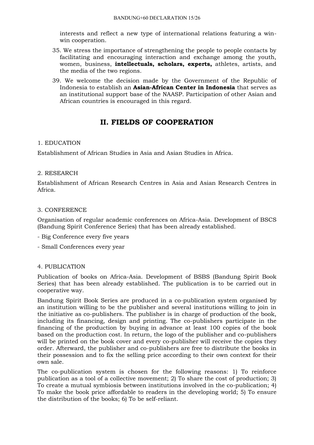interests and reflect a new type of international relations featuring a winwin cooperation.

- 35. We stress the importance of strengthening the people to people contacts by facilitating and encouraging interaction and exchange among the youth, women, business, **intellectuals, scholars, experts,** athletes, artists, and the media of the two regions.
- 39. We welcome the decision made by the Government of the Republic of Indonesia to establish an **Asian-African Center in Indonesia** that serves as an institutional support base of the NAASP. Participation of other Asian and African countries is encouraged in this regard.

# **II. FIELDS OF COOPERATION**

#### 1. EDUCATION

Establishment of African Studies in Asia and Asian Studies in Africa.

#### 2. RESEARCH

Establishment of African Research Centres in Asia and Asian Research Centres in Africa.

#### 3. CONFERENCE

Organisation of regular academic conferences on Africa-Asia. Development of BSCS (Bandung Spirit Conference Series) that has been already established.

- Big Conference every five years
- Small Conferences every year

#### 4. PUBLICATION

Publication of books on Africa-Asia. Development of BSBS (Bandung Spirit Book Series) that has been already established. The publication is to be carried out in cooperative way.

Bandung Spirit Book Series are produced in a co-publication system organised by an institution willing to be the publisher and several institutions willing to join in the initiative as co-publishers. The publisher is in charge of production of the book, including its financing, design and printing. The co-publishers participate in the financing of the production by buying in advance at least 100 copies of the book based on the production cost. In return, the logo of the publisher and co-publishers will be printed on the book cover and every co-publisher will receive the copies they order. Afterward, the publisher and co-publishers are free to distribute the books in their possession and to fix the selling price according to their own context for their own sale.

The co-publication system is chosen for the following reasons: 1) To reinforce publication as a tool of a collective movement; 2) To share the cost of production; 3) To create a mutual symbiosis between institutions involved in the co-publication; 4) To make the book price affordable to readers in the developing world; 5) To ensure the distribution of the books; 6) To be self-reliant.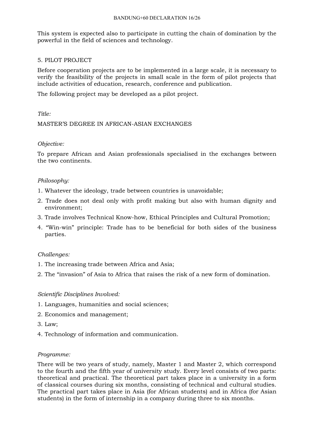This system is expected also to participate in cutting the chain of domination by the powerful in the field of sciences and technology.

#### 5. PILOT PROJECT

Before cooperation projects are to be implemented in a large scale, it is necessary to verify the feasibility of the projects in small scale in the form of pilot projects that include activities of education, research, conference and publication.

The following project may be developed as a pilot project.

#### *Title:*

#### MASTER'S DEGREE IN AFRICAN-ASIAN EXCHANGES

#### *Objective:*

To prepare African and Asian professionals specialised in the exchanges between the two continents.

#### *Philosophy:*

- 1. Whatever the ideology, trade between countries is unavoidable;
- 2. Trade does not deal only with profit making but also with human dignity and environment;
- 3. Trade involves Technical Know-how, Ethical Principles and Cultural Promotion;
- 4. "Win-win" principle: Trade has to be beneficial for both sides of the business parties.

#### *Challenges:*

- 1. The increasing trade between Africa and Asia;
- 2. The "invasion" of Asia to Africa that raises the risk of a new form of domination.

#### *Scientific Disciplines Involved:*

- 1. Languages, humanities and social sciences;
- 2. Economics and management;
- 3. Law;
- 4. Technology of information and communication.

#### *Programme:*

There will be two years of study, namely, Master 1 and Master 2, which correspond to the fourth and the fifth year of university study. Every level consists of two parts: theoretical and practical. The theoretical part takes place in a university in a form of classical courses during six months, consisting of technical and cultural studies. The practical part takes place in Asia (for African students) and in Africa (for Asian students) in the form of internship in a company during three to six months.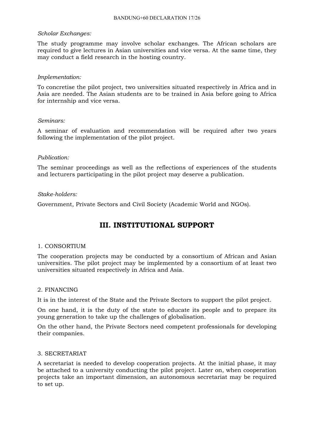#### *Scholar Exchanges:*

The study programme may involve scholar exchanges. The African scholars are required to give lectures in Asian universities and vice versa. At the same time, they may conduct a field research in the hosting country.

#### *Implementation:*

To concretise the pilot project, two universities situated respectively in Africa and in Asia are needed. The Asian students are to be trained in Asia before going to Africa for internship and vice versa.

#### *Seminars:*

A seminar of evaluation and recommendation will be required after two years following the implementation of the pilot project.

#### *Publication:*

The seminar proceedings as well as the reflections of experiences of the students and lecturers participating in the pilot project may deserve a publication.

#### *Stake-holders:*

Government, Private Sectors and Civil Society (Academic World and NGOs).

# **III. INSTITUTIONAL SUPPORT**

#### 1. CONSORTIUM

The cooperation projects may be conducted by a consortium of African and Asian universities. The pilot project may be implemented by a consortium of at least two universities situated respectively in Africa and Asia.

#### 2. FINANCING

It is in the interest of the State and the Private Sectors to support the pilot project.

On one hand, it is the duty of the state to educate its people and to prepare its young generation to take up the challenges of globalisation.

On the other hand, the Private Sectors need competent professionals for developing their companies.

#### 3. SECRETARIAT

A secretariat is needed to develop cooperation projects. At the initial phase, it may be attached to a university conducting the pilot project. Later on, when cooperation projects take an important dimension, an autonomous secretariat may be required to set up.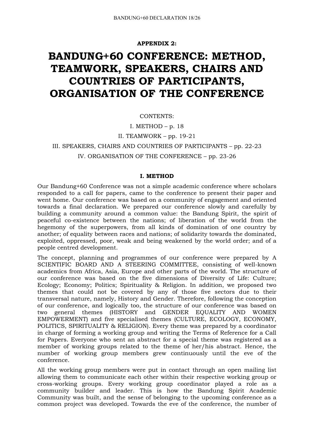#### **APPENDIX 2:**

# **BANDUNG+60 CONFERENCE: METHOD, TEAMWORK, SPEAKERS, CHAIRS AND COUNTRIES OF PARTICIPANTS, ORGANISATION OF THE CONFERENCE**

CONTENTS:

I. METHOD –  $p. 18$ 

II. TEAMWORK – pp. 19-21

III. SPEAKERS, CHAIRS AND COUNTRIES OF PARTICIPANTS – pp. 22-23

#### IV. ORGANISATION OF THE CONFERENCE – pp. 23-26

#### **I. METHOD**

Our Bandung+60 Conference was not a simple academic conference where scholars responded to a call for papers, came to the conference to present their paper and went home. Our conference was based on a community of engagement and oriented towards a final declaration. We prepared our conference slowly and carefully by building a community around a common value: the Bandung Spirit, the spirit of peaceful co-existence between the nations; of liberation of the world from the hegemony of the superpowers, from all kinds of domination of one country by another; of equality between races and nations; of solidarity towards the dominated, exploited, oppressed, poor, weak and being weakened by the world order; and of a people centred development.

The concept, planning and programmes of our conference were prepared by A SCIENTIFIC BOARD AND A STEERING COMMITTEE, consisting of well-known academics from Africa, Asia, Europe and other parts of the world. The structure of our conference was based on the five dimensions of Diversity of Life: Culture; Ecology; Economy; Politics; Spirituality & Religion. In addition, we proposed two themes that could not be covered by any of those five sectors due to their transversal nature, namely, History and Gender. Therefore, following the conception of our conference, and logically too, the structure of our conference was based on two general themes (HISTORY and GENDER EQUALITY AND WOMEN EMPOWERMENT) and five specialised themes (CULTURE, ECOLOGY, ECONOMY, POLITICS, SPIRITUALITY & RELIGION). Every theme was prepared by a coordinator in charge of forming a working group and writing the Terms of Reference for a Call for Papers. Everyone who sent an abstract for a special theme was registered as a member of working groups related to the theme of her/his abstract. Hence, the number of working group members grew continuously until the eve of the conference.

All the working group members were put in contact through an open mailing list allowing them to communicate each other within their respective working group or cross-working groups. Every working group coordinator played a role as a community builder and leader. This is how the Bandung Spirit Academic Community was built, and the sense of belonging to the upcoming conference as a common project was developed. Towards the eve of the conference, the number of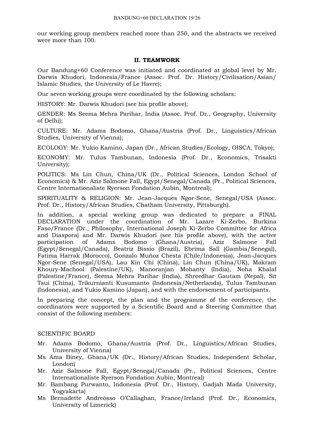our working group members reached more than 250, and the abstracts we received were more than 100.

#### **II. TEAMWORK**

Our Bandung+60 Conference was initiated and coordinated at global level by Mr. Darwis Khudori, Indonesia/France (Assoc. Prof. Dr. History/Civilisation/Asian/ Islamic Studies, the University of Le Havre);

Our seven working groups were coordinated by the following scholars:

HISTORY: Mr. Darwis Khudori (see his profile above);

GENDER: Ms Seema Mehra Parihar, India (Assoc. Prof. Dr., Geography, University of Delhi);

CULTURE: Mr. Adams Bodomo, Ghana/Austria (Prof. Dr., Linguistics/African Studies, University of Vienna);

ECOLOGY: Mr. Yukio Kamino, Japan (Dr., African Studies/Ecology, OISCA, Tokyo);

ECONOMY: Mr. Tulus Tambunan, Indonesia (Prof. Dr., Economics, Trisakti University);

POLITICS: Ms Lin Chun, China/UK (Dr., Political Sciences, London School of Economics) & Mr. Aziz Salmone Fall, Egypt/Senegal/Canada (Pr., Political Sciences, Centre Internationaliste Ryerson Fondation Aubin, Montreal);

SPIRITUALITY & RELIGION: Mr. Jean-Jacques Ngor-Sene, Senegal/USA (Assoc. Prof. Dr., History/African Studies, Chatham University, Pittsburgh).

In addition, a special working group was dedicated to prepare a FINAL DECLARATION under the coordination of Mr. Lazare Ki-Zerbo, Burkina Faso/France (Dr., Philosophy, International Joseph Ki-Zerbo Committee for Africa and Diaspora) and Mr. Darwis Khudori (see his profile above), with the active participation of Adams Bodomo (Ghana/Austria), Aziz Salmone Fall (Egypt/Senegal/Canada), Beatriz Bissio (Brazil), Ebrima Sall (Gambia/Senegal), Fatima Harrak (Morocco), Gonzalo Muñoz Chesta (Chile/Indonesia), Jean-Jacques Ngor-Sene (Senegal/USA), Lau Kin Chi (China), Lin Chun (China/UK), Makram Khoury-Machool (Palestine/UK), Manoranjan Mohanty (India), Noha Khalaf (Palestine/France), Seema Mehra Parihar (India), Shreedhar Gautam (Nepal), Sit Tsui (China), Trikurnianti Kusumanto (Indonesia/Netherlands), Tulus Tambunan (Indonesia), and Yukio Kamino (Japan), and with the endorsement of participants.

In preparing the concept, the plan and the programme of the conference, the coordinators were supported by a Scientific Board and a Steering Committee that consist of the following members:

#### SCIENTIFIC BOARD

- Mr. Adams Bodomo, Ghana/Austria (Prof. Dr., Linguistics/African Studies, University of Vienna)
- Ms Ama Biney, Ghana/UK (Dr., History/African Studies, Independent Scholar, London)
- Mr. Aziz Salmone Fall, Egypt/Senegal/Canada (Pr., Political Sciences, Centre Internationaliste Ryerson Fondation Aubin, Montreal)
- Mr. Bambang Purwanto, Indonesia (Prof. Dr., History, Gadjah Mada University, Yogyakarta)
- Ms Bernadette Andreosso O'Callaghan, France/Ireland (Prof. Dr., Economics, University of Limerick)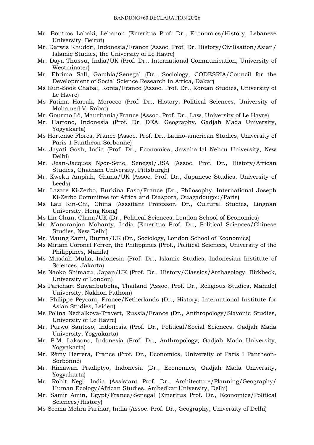- Mr. Boutros Labaki, Lebanon (Emeritus Prof. Dr., Economics/History, Lebanese University, Beirut)
- Mr. Darwis Khudori, Indonesia/France (Assoc. Prof. Dr. History/Civilisation/Asian/ Islamic Studies, the University of Le Havre)
- Mr. Daya Thussu, India/UK (Prof. Dr., International Communication, University of Westminster)
- Mr. Ebrima Sall, Gambia/Senegal (Dr., Sociology, CODESRIA/Council for the Development of Social Science Research in Africa, Dakar)
- Ms Eun-Sook Chabal, Korea/France (Assoc. Prof. Dr., Korean Studies, University of Le Havre)
- Ms Fatima Harrak, Morocco (Prof. Dr., History, Political Sciences, University of Mohamed V, Rabat)
- Mr. Gourmo Lô, Mauritania/France (Assoc. Prof. Dr., Law, University of Le Havre)
- Mr. Hartono, Indonesia (Prof. Dr. DEA, Geography, Gadjah Mada University, Yogyakarta)
- Ms Hortense Flores, France (Assoc. Prof. Dr., Latino-american Studies, University of Paris 1 Pantheon-Sorbonne)
- Ms Jayati Gosh, India (Prof. Dr., Economics, Jawaharlal Nehru University, New Delhi)
- Mr. Jean-Jacques Ngor-Sene, Senegal/USA (Assoc. Prof. Dr., History/African Studies, Chatham University, Pittsburgh)
- Mr. Kweku Ampiah, Ghana/UK (Assoc. Prof. Dr., Japanese Studies, University of Leeds)
- Mr. Lazare Ki-Zerbo, Burkina Faso/France (Dr., Philosophy, International Joseph Ki-Zerbo Committee for Africa and Diaspora, Ouagadougou/Paris)
- Ms Lau Kin-Chi, China (Asssitant Professor. Dr., Cultural Studies, Lingnan University, Hong Kong)
- Ms Lin Chun, China/UK (Dr., Political Sciences, London School of Economics)
- Mr. Manoranjan Mohanty, India (Emeritus Prof. Dr., Political Sciences/Chinese Studies, New Delhi)
- Mr. Maung Zarni, Burma/UK (Dr., Sociology, London School of Economics)
- Ms Miriam Coronel Ferrer, the Philippines (Prof., Political Sciences, University of the Philippines, Manila)
- Ms Musdah Mulia, Indonesia (Prof. Dr., Islamic Studies, Indonesian Institute of Sciences, Jakarta)
- Ms Naoko Shimazu, Japan/UK (Prof. Dr., History/Classics/Archaeology, Birkbeck, University of London)
- Ms Parichart Suwanbubbha, Thailand (Assoc. Prof. Dr., Religious Studies, Mahidol University, Nakhon Pathom)
- Mr. Philippe Peycam, France/Netherlands (Dr., History, International Institute for Asian Studies, Leiden)
- Ms Polina Nedialkova-Travert, Russia/France (Dr., Anthropology/Slavonic Studies, University of Le Havre)
- Mr. Purwo Santoso, Indonesia (Prof. Dr., Political/Social Sciences, Gadjah Mada University, Yogyakarta)
- Mr. P.M. Laksono, Indonesia (Prof. Dr., Anthropology, Gadjah Mada University, Yogyakarta)
- Mr. Rémy Herrera, France (Prof. Dr., Economics, University of Paris I Pantheon-Sorbonne)
- Mr. Rimawan Pradiptyo, Indonesia (Dr., Economics, Gadjah Mada University, Yogyakarta)
- Mr. Rohit Negi, India (Assistant Prof. Dr., Architecture/Planning/Geography/ Human Ecology/African Studies, Ambedkar University, Delhi)
- Mr. Samir Amin, Egypt/France/Senegal (Emeritus Prof. Dr., Economics/Political Sciences/History)
- Ms Seema Mehra Parihar, India (Assoc. Prof. Dr., Geography, University of Delhi)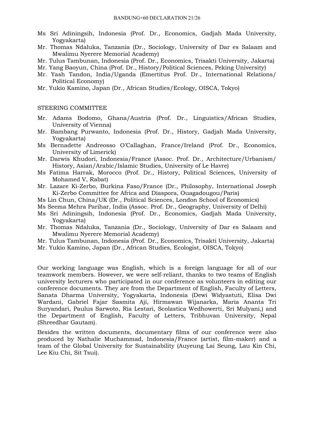- Ms Sri Adiningsih, Indonesia (Prof. Dr., Economics, Gadjah Mada University, Yogyakarta)
- Mr. Thomas Ndaluka, Tanzania (Dr., Sociology, University of Dar es Salaam and Mwalimu Nyerere Memorial Academy)
- Mr. Tulus Tambunan, Indonesia (Prof. Dr., Economics, Trisakti University, Jakarta)
- Mr. Yang Baoyun, China (Prof. Dr., History/Political Sciences, Peking University)
- Mr. Yash Tandon, India/Uganda (Emertitus Prof. Dr., International Relations/ Political Economy)
- Mr. Yukio Kamino, Japan (Dr., African Studies/Ecology, OISCA, Tokyo)

#### STEERING COMMITTEE

- Mr. Adams Bodomo, Ghana/Austria (Prof. Dr., Linguistics/African Studies, University of Vienna)
- Mr. Bambang Purwanto, Indonesia (Prof. Dr., History, Gadjah Mada University, Yogyakarta)
- Ms Bernadette Andreosso O'Callaghan, France/Ireland (Prof. Dr., Economics, University of Limerick)
- Mr. Darwis Khudori, Indonesia/France (Assoc. Prof. Dr., Architecture/Urbanism/ History, Asian/Arabic/Islamic Studies, University of Le Havre)
- Ms Fatima Harrak, Morocco (Prof. Dr., History, Political Sciences, University of Mohamed V, Rabat)
- Mr. Lazare Ki-Zerbo, Burkina Faso/France (Dr., Philosophy, International Joseph Ki-Zerbo Committee for Africa and Diaspora, Ouagadougou/Paris)
- Ms Lin Chun, China/UK (Dr., Political Sciences, London School of Economics)
- Ms Seema Mehra Parihar, India (Assoc. Prof. Dr., Geography, University of Delhi)
- Ms Sri Adiningsih, Indonesia (Prof. Dr., Economics, Gadjah Mada University, Yogyakarta)
- Mr. Thomas Ndaluka, Tanzania (Dr., Sociology, University of Dar es Salaam and Mwalimu Nyerere Memorial Academy)
- Mr. Tulus Tambunan, Indonesia (Prof. Dr., Economics, Trisakti University, Jakarta)
- Mr. Yukio Kamino, Japan (Dr., African Studies, Ecologist, OISCA, Tokyo)

Our working language was English, which is a foreign language for all of our teamwork members. However, we were self-reliant, thanks to two teams of English university lecturers who participated in our conference as volunteers in editing our conference documents. They are from the Department of English, Faculty of Letters, Sanata Dharma University, Yogyakarta, Indonesia (Dewi Widyastuti, Elisa Dwi Wardani, Gabriel Fajar Sasmita Aji, Hirmawan Wijanarka, Maria Ananta Tri Suryandari, Paulus Sarwoto, Ria Lestari, Scolastica Wedhowerti, Sri Mulyani,) and the Department of English, Faculty of Letters, Tribhuvan University, Nepal (Shreedhar Gautam).

Besides the written documents, documentary films of our conference were also produced by Nathalie Muchammad, Indonesia/France (artist, film-maker) and a team of the Global University for Sustainability (Auyeung Lai Seung, Lau Kin Chi, Lee Kiu Chi, Sit Tsui).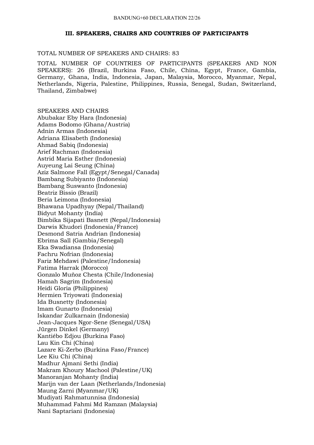#### **III. SPEAKERS, CHAIRS AND COUNTRIES OF PARTICIPANTS**

#### TOTAL NUMBER OF SPEAKERS AND CHAIRS: 83

TOTAL NUMBER OF COUNTRIES OF PARTICIPANTS (SPEAKERS AND NON SPEAKERS): 26 (Brazil, Burkina Faso, Chile, China, Egypt, France, Gambia, Germany, Ghana, India, Indonesia, Japan, Malaysia, Morocco, Myanmar, Nepal, Netherlands, Nigeria, Palestine, Philippines, Russia, Senegal, Sudan, Switzerland, Thailand, Zimbabwe)

SPEAKERS AND CHAIRS Abubakar Eby Hara (Indonesia) Adams Bodomo (Ghana/Austria) Adnin Armas (Indonesia) Adriana Elisabeth (Indonesia) Ahmad Sabiq (Indonesia) Arief Rachman (Indonesia) Astrid Maria Esther (Indonesia) Auyeung Lai Seung (China) Aziz Salmone Fall (Egypt/Senegal/Canada) Bambang Subiyanto (Indonesia) Bambang Suswanto (Indonesia) Beatriz Bissio (Brazil) Beria Leimona (Indonesia) Bhawana Upadhyay (Nepal/Thailand) Bidyut Mohanty (India) Bimbika Sijapati Basnett (Nepal/Indonesia) Darwis Khudori (Indonesia/France) Desmond Satria Andrian (Indonesia) Ebrima Sall (Gambia/Senegal) Eka Swadiansa (Indonesia) Fachru Nofrian (Indonesia) Fariz Mehdawi (Palestine/Indonesia) Fatima Harrak (Morocco) Gonzalo Muñoz Chesta (Chile/Indonesia) Hamah Sagrim (Indonesia) Heidi Gloria (Philippines) Hermien Triyowati (Indonesia) Ida Busnetty (Indonesia) Imam Gunarto (Indonesia) Iskandar Zulkarnain (Indonesia) Jean-Jacques Ngor-Sene (Senegal/USA) Jürgen Dinkel (Germany) Kantiébo Edjou (Burkina Faso) Lau Kin Chi (China) Lazare Ki-Zerbo (Burkina Faso/France) Lee Kiu Chi (China) Madhur Ajmani Sethi (India) Makram Khoury Machool (Palestine/UK) Manoranjan Mohanty (India) Marijn van der Laan (Netherlands/Indonesia) Maung Zarni (Myanmar/UK) Mudiyati Rahmatunnisa (Indonesia) Muhammad Fahmi Md Ramzan (Malaysia) Nani Saptariani (Indonesia)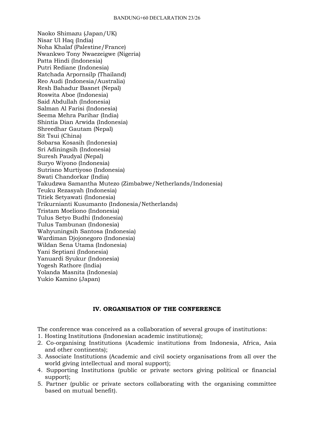Naoko Shimazu (Japan/UK) Nisar Ul Haq (India) Noha Khalaf (Palestine/France) Nwankwo Tony Nwaezeigwe (Nigeria) Patta Hindi (Indonesia) Putri Rediane (Indonesia) Ratchada Arpornsilp (Thailand) Reo Audi (Indonesia/Australia) Resh Bahadur Basnet (Nepal) Roswita Aboe (Indonesia) Said Abdullah (Indonesia) Salman Al Farisi (Indonesia) Seema Mehra Parihar (India) Shintia Dian Arwida (Indonesia) Shreedhar Gautam (Nepal) Sit Tsui (China) Sobarsa Kosasih (Indonesia) Sri Adiningsih (Indonesia) Suresh Paudyal (Nepal) Suryo Wiyono (Indonesia) Sutrisno Murtiyoso (Indonesia) Swati Chandorkar (India) Takudzwa Samantha Mutezo (Zimbabwe/Netherlands/Indonesia) Teuku Rezasyah (Indonesia) Titiek Setyawati (Indonesia) Trikurnianti Kusumanto (Indonesia/Netherlands) Tristam Moeliono (Indonesia) Tulus Setyo Budhi (Indonesia) Tulus Tambunan (Indonesia) Wahyuningsih Santosa (Indonesia) Wardiman Djojonegoro (Indonesia) Wildan Sena Utama (Indonesia) Yani Septiani (Indonesia) Yanuardi Syukur (Indonesia) Yogesh Rathore (India) Yolanda Masnita (Indonesia) Yukio Kamino (Japan)

#### **IV. ORGANISATION OF THE CONFERENCE**

The conference was conceived as a collaboration of several groups of institutions:

- 1. Hosting Institutions (Indonesian academic institutions);
- 2. Co-organising Institutions (Academic institutions from Indonesia, Africa, Asia and other continents);
- 3. Associate Institutions (Academic and civil society organisations from all over the world giving intellectual and moral support);
- 4. Supporting Institutions (public or private sectors giving political or financial support);
- 5. Partner (public or private sectors collaborating with the organising committee based on mutual benefit).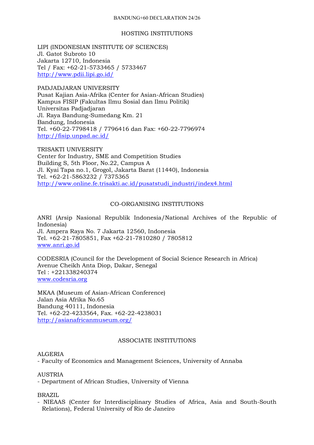#### BANDUNG+60 DECLARATION 24/26

#### HOSTING INSTITUTIONS

LIPI (INDONESIAN INSTITUTE OF SCIENCES) Jl. Gatot Subroto 10 Jakarta 12710, Indonesia Tel / Fax: +62-21-5733465 / 5733467 http://www.pdii.lipi.go.id/

PADJADJARAN UNIVERSITY Pusat Kajian Asia-Afrika (Center for Asian-African Studies) Kampus FISIP (Fakultas Ilmu Sosial dan Ilmu Politik) Universitas Padjadjaran Jl. Raya Bandung-Sumedang Km. 21 Bandung, Indonesia Tel. +60-22-7798418 / 7796416 dan Fax: +60-22-7796974 http://fisip.unpad.ac.id/

TRISAKTI UNIVERSITY Center for Industry, SME and Competition Studies Building S, 5th Floor, No.22, Campus A Jl. Kyai Tapa no.1, Grogol, Jakarta Barat (11440), Indonesia Tel. +62-21-5863232 / 7375365 http://www.online.fe.trisakti.ac.id/pusatstudi\_industri/index4.html

#### CO-ORGANISING INSTITUTIONS

ANRI (Arsip Nasional Republik Indonesia/National Archives of the Republic of Indonesia) Jl. Ampera Raya No. 7 Jakarta 12560, Indonesia Tel. +62-21-7805851, Fax +62-21-7810280 / 7805812 www.anri.go.id

CODESRIA (Council for the Development of Social Science Research in Africa) Avenue Cheikh Anta Diop, Dakar, Senegal Tel : +221338240374 www.codesria.org

MKAA (Museum of Asian-African Conference) Jalan Asia Afrika No.65 Bandung 40111, Indonesia Tel. +62-22-4233564, Fax. +62-22-4238031 http://asianafricanmuseum.org/

#### ASSOCIATE INSTITUTIONS

#### ALGERIA

- Faculty of Economics and Management Sciences, University of Annaba

#### AUSTRIA

- Department of African Studies, University of Vienna

#### BRAZIL

- NIEAAS (Center for Interdisciplinary Studies of Africa, Asia and South-South Relations), Federal University of Rio de Janeiro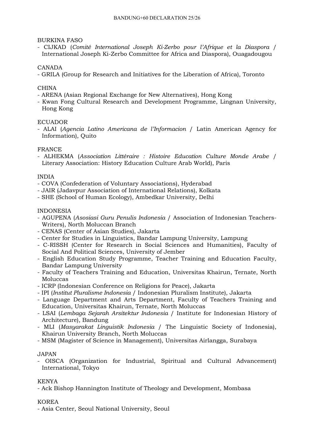BURKINA FASO

- CIJKAD (*Comité International Joseph Ki-Zerbo pour l'Afrique et la Diaspora* / International Joseph Ki-Zerbo Committee for Africa and Diaspora), Ouagadougou

#### CANADA

- GRILA (Group for Research and Initiatives for the Liberation of Africa), Toronto

#### **CHINA**

- ARENA (Asian Regional Exchange for New Alternatives), Hong Kong
- Kwan Fong Cultural Research and Development Programme, Lingnan University, Hong Kong

#### **ECUADOR**

- ALAI (*Agencia Latino Americana de l'Informacion* / Latin American Agency for Information), Quito

#### FRANCE

- ALHEKMA (*Association Littéraire : Histoire Education Culture Monde Arabe* / Literary Association: History Education Culture Arab World), Paris

#### INDIA

- COVA (Confederation of Voluntary Associations), Hyderabad
- JAIR (Jadavpur Association of International Relations), Kolkata
- SHE (School of Human Ecology), Ambedkar University, Delhi

#### INDONESIA

- AGUPENA (*Asosiasi Guru Penulis Indonesia* / Association of Indonesian Teachers-Writers), North Moluccan Branch
- CENAS (Center of Asian Studies), Jakarta
- Center for Studies in Linguistics, Bandar Lampung University, Lampung
- C-RISSH (Center for Research in Social Sciences and Humanities), Faculty of Social And Political Sciences, University of Jember
- English Education Study Programme, Teacher Training and Education Faculty, Bandar Lampung University
- Faculty of Teachers Training and Education, Universitas Khairun, Ternate, North Moluccas
- ICRP (Indonesian Conference on Religions for Peace), Jakarta
- IPI (*Institut Pluralisme Indonesia* / Indonesian Pluralism Institute), Jakarta
- Language Department and Arts Department, Faculty of Teachers Training and Education, Universitas Khairun, Ternate, North Moluccas
- LSAI (*Lembaga Sejarah Arsitektur Indonesia* / Institute for Indonesian History of Architecture), Bandung
- MLI (*Masyarakat Linguistik Indonesia* / The Linguistic Society of Indonesia), Khairun University Branch, North Moluccas
- MSM (Magister of Science in Management), Universitas Airlangga, Surabaya

#### JAPAN

- OISCA (Organization for Industrial, Spiritual and Cultural Advancement) International, Tokyo

#### KENYA

- Ack Bishop Hannington Institute of Theology and Development, Mombasa

#### KOREA

- Asia Center, Seoul National University, Seoul